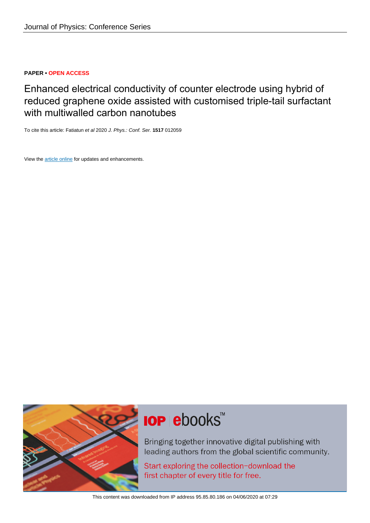## **PAPER • OPEN ACCESS**

Enhanced electrical conductivity of counter electrode using hybrid of reduced graphene oxide assisted with customised triple-tail surfactant with multiwalled carbon nanotubes

To cite this article: Fatiatun et al 2020 J. Phys.: Conf. Ser. **1517** 012059

View the [article online](https://doi.org/10.1088/1742-6596/1517/1/012059) for updates and enhancements.



# **IOP ebooks™**

Bringing together innovative digital publishing with leading authors from the global scientific community.

Start exploring the collection-download the first chapter of every title for free.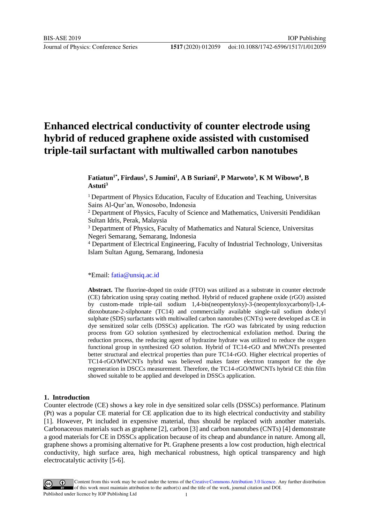Journal of Physics: Conference Series **1517** (2020) 012059

# **Enhanced electrical conductivity of counter electrode using hybrid of reduced graphene oxide assisted with customised triple-tail surfactant with multiwalled carbon nanotubes**

## **Fatiatun1\*, Firdaus<sup>1</sup> , S Jumini<sup>1</sup> , A B Suriani<sup>2</sup> , P Marwoto<sup>3</sup> , K M Wibowo<sup>4</sup> , B Astuti<sup>3</sup>**

<sup>1</sup> Department of Physics Education, Faculty of Education and Teaching, Universitas Sains Al-Qur'an, Wonosobo, Indonesia

<sup>2</sup> Department of Physics, Faculty of Science and Mathematics, Universiti Pendidikan Sultan Idris, Perak, Malaysia

<sup>3</sup> Department of Physics, Faculty of Mathematics and Natural Science, Universitas Negeri Semarang, Semarang, Indonesia

<sup>4</sup> Department of Electrical Engineering, Faculty of Industrial Technology, Universitas Islam Sultan Agung, Semarang, Indonesia

\*Email: [fatia@unsiq.ac.id](mailto:fatia@unsiq.ac.id)

**Abstract.** The fluorine-doped tin oxide (FTO) was utilized as a substrate in counter electrode (CE) fabrication using spray coating method. Hybrid of reduced graphene oxide (rGO) assisted by custom-made triple-tail sodium 1,4-bis(neopentyloxy)-3-(neopentyloxycarbonyl)-1,4 dioxobutane-2-silphonate (TC14) and commercially available single-tail sodium dodecyl sulphate (SDS) surfactants with multiwalled carbon nanotubes (CNTs) were developed as CE in dye sensitized solar cells (DSSCs) application. The rGO was fabricated by using reduction process from GO solution synthesized by electrochemical exfoliation method. During the reduction process, the reducing agent of hydrazine hydrate was utilized to reduce the oxygen functional group in synthesized GO solution. Hybrid of TC14-rGO and MWCNTs presented better structural and electrical properties than pure TC14-rGO. Higher electrical properties of TC14-rGO/MWCNTs hybrid was believed makes faster electron transport for the dye regeneration in DSCCs measurement. Therefore, the TC14-rGO/MWCNTs hybrid CE thin film showed suitable to be applied and developed in DSSCs application.

#### **1. Introduction**

Counter electrode (CE) shows a key role in dye sensitized solar cells (DSSCs) performance. Platinum (Pt) was a popular CE material for CE application due to its high electrical conductivity and stability [1]. However, Pt included in expensive material, thus should be replaced with another materials. Carbonaceous materials such as graphene [2], carbon [3] and carbon nanotubes (CNTs) [4] demonstrate a good materials for CE in DSSCs application because of its cheap and abundance in nature. Among all, graphene shows a promising alternative for Pt. Graphene presents a low cost production, high electrical conductivity, high surface area, high mechanical robustness, high optical transparency and high electrocatalytic activity [5-6].

Content from this work may be used under the terms of the Creative Commons Attribution 3.0 licence. Any further distribution of this work must maintain attribution to the author(s) and the title of the work, journal citation and DOI. Published under licence by IOP Publishing Ltd 1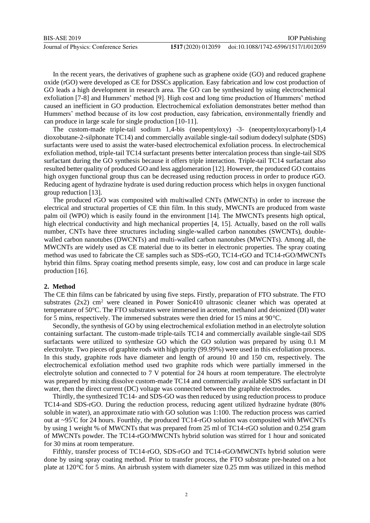Journal of Physics: Conference Series **1517** (2020) 012059

In the recent years, the derivatives of graphene such as graphene oxide (GO) and reduced graphene oxide (rGO) were developed as CE for DSSCs application. Easy fabrication and low cost production of GO leads a high development in research area. The GO can be synthesized by using electrochemical exfoliation [7-8] and Hummers' method [9]. High cost and long time production of Hummers' method caused an inefficient in GO production. Electrochemical exfoliation demonstrates better method than Hummers' method because of its low cost production, easy fabrication, environmentally friendly and can produce in large scale for single production [10-11].

The custom-made triple-tail sodium 1,4-bis (neopentyloxy) -3- (neopentyloxycarbonyl)-1,4 dioxobutane-2-silphonate TC14) and commercially available single-tail sodium dodecyl sulphate (SDS) surfactants were used to assist the water-based electrochemical exfoliation process. In electrochemical exfoliation method, triple-tail TC14 surfactant presents better intercalation process than single-tail SDS surfactant during the GO synthesis because it offers triple interaction. Triple-tail TC14 surfactant also resulted better quality of produced GO and less agglomeration [12]. However, the produced GO contains high oxygen functional group thus can be decreased using reduction process in order to produce rGO. Reducing agent of hydrazine hydrate is used during reduction process which helps in oxygen functional group reduction [13].

The produced rGO was composited with multiwalled CNTs (MWCNTs) in order to increase the electrical and structural properties of CE thin film. In this study, MWCNTs are produced from waste palm oil (WPO) which is easily found in the environment [14]. The MWCNTs presents high optical, high electrical conductivity and high mechanical properties [4, 15]. Actually, based on the roll walls number, CNTs have three structures including single-walled carbon nanotubes (SWCNTs), doublewalled carbon nanotubes (DWCNTs) and multi-walled carbon nanotubes (MWCNTs). Among all, the MWCNTs are widely used as CE material due to its better in electronic properties. The spray coating method was used to fabricate the CE samples such as SDS-rGO, TC14-rGO and TC14-rGO/MWCNTs hybrid thin films. Spray coating method presents simple, easy, low cost and can produce in large scale production [16].

#### **2. Method**

The CE thin films can be fabricated by using five steps. Firstly, preparation of FTO substrate. The FTO substrates  $(2x2)$  cm<sup>2</sup> were cleaned in Power Sonic410 ultrasonic cleaner which was operated at temperature of 50°C. The FTO substrates were immersed in acetone, methanol and deionized (DI) water for 5 mins, respectively. The immersed substrates were then dried for 15 mins at 90°C.

Secondly, the synthesis of GO by using electrochemical exfoliation method in an electrolyte solution containing surfactant. The custom-made triple-tails TC14 and commercially available single-tail SDS surfactants were utilized to synthesize GO which the GO solution was prepared by using 0.1 M electrolyte. Two pieces of graphite rods with high purity (99.99%) were used in this exfoliation process. In this study, graphite rods have diameter and length of around 10 and 150 cm, respectively. The electrochemical exfoliation method used two graphite rods which were partially immersed in the electrolyte solution and connected to 7 V potential for 24 hours at room temperature. The electrolyte was prepared by mixing dissolve custom-made TC14 and commercially available SDS surfactant in DI water, then the direct current (DC) voltage was connected between the graphite electrodes.

Thirdly, the synthesized TC14- and SDS-GO was then reduced by using reduction process to produce TC14-and SDS-rGO. During the reduction process, reducing agent utilized hydrazine hydrate (80% soluble in water), an approximate ratio with GO solution was 1:100. The reduction process was carried out at ~95°C for 24 hours. Fourthly, the produced TC14-rGO solution was composited with MWCNTs by using 1 weight % of MWCNTs that was prepared from 25 ml of TC14-rGO solution and 0.254 gram of MWCNTs powder. The TC14-rGO/MWCNTs hybrid solution was stirred for 1 hour and sonicated for 30 mins at room temperature.

Fifthly, transfer process of TC14-rGO, SDS-rGO and TC14-rGO/MWCNTs hybrid solution were done by using spray coating method. Prior to transfer process, the FTO substrate pre-heated on a hot plate at 120°C for 5 mins. An airbrush system with diameter size 0.25 mm was utilized in this method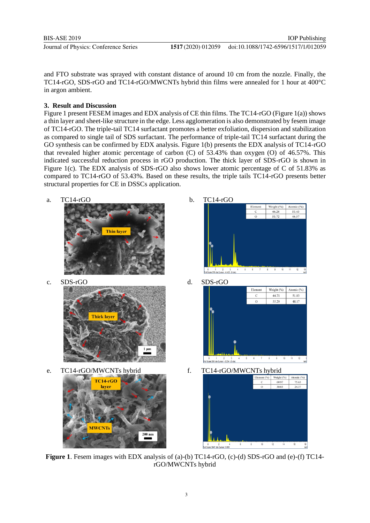BIS-ASE 2019 Journal of Physics: Conference Series **1517** (2020) 012059

and FTO substrate was sprayed with constant distance of around 10 cm from the nozzle. Finally, the TC14-rGO, SDS-rGO and TC14-rGO/MWCNTs hybrid thin films were annealed for 1 hour at 400°C in argon ambient.

# **3. Result and Discussion**

Figure 1 present FESEM images and EDX analysis of CE thin films. The TC14-rGO (Figure 1(a)) shows a thin layer and sheet-like structure in the edge. Less agglomeration is also demonstrated by fesem image of TC14-rGO. The triple-tail TC14 surfactant promotes a better exfoliation, dispersion and stabilization as compared to single tail of SDS surfactant. The performance of triple-tail TC14 surfactant during the GO synthesis can be confirmed by EDX analysis. Figure 1(b) presents the EDX analysis of TC14-rGO that revealed higher atomic percentage of carbon (C) of 53.43% than oxygen (O) of 46.57%. This indicated successful reduction process in rGO production. The thick layer of SDS-rGO is shown in Figure 1(c). The EDX analysis of SDS-rGO also shows lower atomic percentage of C of 51.83% as compared to TC14-rGO of 53.43%. Based on these results, the triple tails TC14-rGO presents better structural properties for CE in DSSCs application.







e. TC14-rGO/MWCNTs hybrid f. TC14-rGO/MWCNTs hybrid





**Figure 1**. Fesem images with EDX analysis of (a)-(b) TC14-rGO, (c)-(d) SDS-rGO and (e)-(f) TC14 rGO/MWCNTs hybrid

0 2 4<br>Full Scale 3647 cts Cursor: 0.000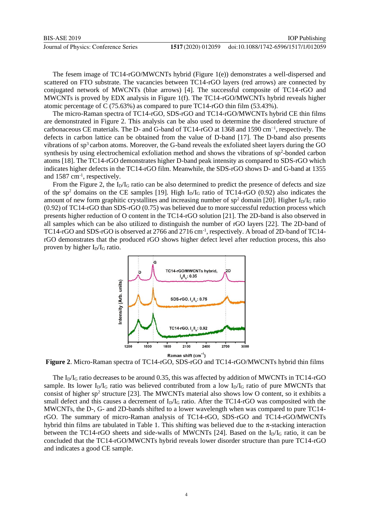Journal of Physics: Conference Series **1517** (2020) 012059

The fesem image of TC14-rGO/MWCNTs hybrid (Figure 1(e)) demonstrates a well-dispersed and scattered on FTO substrate. The vacancies between TC14-rGO layers (red arrows) are connected by conjugated network of MWCNTs (blue arrows) [4]. The successful composite of TC14-rGO and MWCNTs is proved by EDX analysis in Figure 1(f). The TC14-rGO/MWCNTs hybrid reveals higher atomic percentage of C (75.63%) as compared to pure TC14-rGO thin film (53.43%).

The micro-Raman spectra of TC14-rGO, SDS-rGO and TC14-rGO/MWCNTs hybrid CE thin films are demonstrated in Figure 2. This analysis can be also used to determine the disordered structure of carbonaceous CE materials. The D- and G-band of TC14-rGO at 1368 and 1590 cm−1, respectively. The defects in carbon lattice can be obtained from the value of D-band [17]. The D-band also presents vibrations of  $sp<sup>3</sup>$  carbon atoms. Moreover, the G-band reveals the exfoliated sheet layers during the GO synthesis by using electrochemical exfoliation method and shows the vibrations of sp<sup>2</sup>-bonded carbon atoms [18]. The TC14-rGO demonstrates higher D-band peak intensity as compared to SDS-rGO which indicates higher defects in the TC14-rGO film. Meanwhile, the SDS-rGO shows D- and G-band at 1355 and 1587 cm<sup>-1</sup>, respectively.

From the Figure 2, the  $I_D/I_G$  ratio can be also determined to predict the presence of defects and size of the sp<sup>2</sup> domains on the CE samples [19]. High  $I<sub>D</sub>/I<sub>G</sub>$  ratio of TC14-rGO (0.92) also indicates the amount of new form graphitic crystallites and increasing number of  $sp^2$  domain [20]. Higher  $I_D/I_G$  ratio (0.92) of TC14-rGO than SDS-rGO (0.75) was believed due to more successful reduction process which presents higher reduction of O content in the TC14-rGO solution [21]. The 2D-band is also observed in all samples which can be also utilized to distinguish the number of rGO layers [22]. The 2D-band of TC14-rGO and SDS-rGO is observed at 2766 and 2716 cm<sup>-1</sup>, respectively. A broad of 2D-band of TC14rGO demonstrates that the produced rGO shows higher defect level after reduction process, this also proven by higher  $I_D/I_G$  ratio.



**Figure 2**. Micro-Raman spectra of TC14-rGO, SDS-rGO and TC14-rGO/MWCNTs hybrid thin films

The  $I_D/I_G$  ratio decreases to be around 0.35, this was affected by addition of MWCNTs in TC14-rGO sample. Its lower  $I_D/I_G$  ratio was believed contributed from a low  $I_D/I_G$  ratio of pure MWCNTs that consist of higher  $sp^2$  structure [23]. The MWCNTs material also shows low O content, so it exhibits a small defect and this causes a decrement of  $I_D/I_G$  ratio. After the TC14-rGO was composited with the MWCNTs, the D-, G- and 2D-bands shifted to a lower wavelength when was compared to pure TC14 rGO. The summary of micro-Raman analysis of TC14-rGO, SDS-rGO and TC14-rGO/MWCNTs hybrid thin films are tabulated in Table 1. This shifting was believed due to the π-stacking interaction between the TC14-rGO sheets and side-walls of MWCNTs [24]. Based on the  $I_D/I_G$  ratio, it can be concluded that the TC14-rGO/MWCNTs hybrid reveals lower disorder structure than pure TC14-rGO and indicates a good CE sample.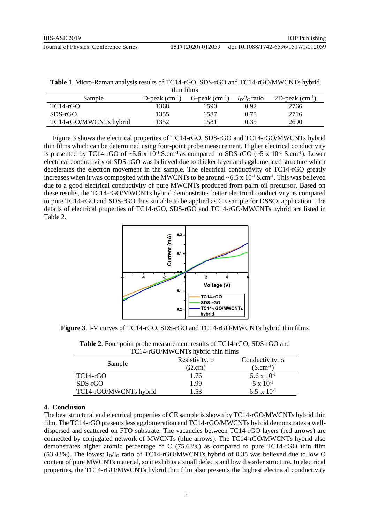| <b>Table 1.</b> Micro-Raman analysis results of TC14-rGO, SDS-rGO and TC14-rGO/MWCNTs hybrid |
|----------------------------------------------------------------------------------------------|
| thin films                                                                                   |

| Sample                 | D-peak $\rm (cm^{-1})$ | $G$ -peak $(cm-1)$ | $I_D/I_G$ ratio | 2D-peak $(cm^{-1})$ |
|------------------------|------------------------|--------------------|-----------------|---------------------|
| $TC14-rGO$             | 1368                   | 1590               | 0.92            | 2766                |
| $SDS-rGO$              | 1355                   | 1587               | 0.75            | 2716                |
| TC14-rGO/MWCNTs hybrid | 1352                   | 1581               | 9.35            | 2690                |

Figure 3 shows the electrical properties of TC14-rGO, SDS-rGO and TC14-rGO/MWCNTs hybrid thin films which can be determined using four-point probe measurement. Higher electrical conductivity is presented by TC14-rGO of  $\sim$ 5.6 x 10<sup>-1</sup> S.cm<sup>-1</sup> as compared to SDS-rGO ( $\sim$ 5 x 10<sup>-1</sup> S.cm<sup>-1</sup>). Lower electrical conductivity of SDS-rGO was believed due to thicker layer and agglomerated structure which decelerates the electron movement in the sample. The electrical conductivity of TC14-rGO greatly increases when it was composited with the MWCNTs to be around  $\sim 6.5 \times 10^{-1}$  S.cm<sup>-1</sup>. This was believed due to a good electrical conductivity of pure MWCNTs produced from palm oil precursor. Based on these results, the TC14-rGO/MWCNTs hybrid demonstrates better electrical conductivity as compared to pure TC14-rGO and SDS-rGO thus suitable to be applied as CE sample for DSSCs application. The details of electrical properties of TC14-rGO, SDS-rGO and TC14-rGO/MWCNTs hybrid are listed in Table 2.



**Figure 3**. I-V curves of TC14-rGO, SDS-rGO and TC14-rGO/MWCNTs hybrid thin films

| <b>Table 2.</b> Four-point probe measurement results of TC14-rGO, SDS-rGO and |
|-------------------------------------------------------------------------------|
| TC14-rGO/MWCNTs hybrid thin films                                             |

| Sample                 | Resistivity, $\rho$<br>$(\Omega$ .cm) | Conductivity, $\sigma$<br>$(S.cm^{-1})$ |
|------------------------|---------------------------------------|-----------------------------------------|
| $TC14-rGO$             | 1.76                                  | $5.6 \times 10^{-1}$                    |
| $SDS-rGO$              | 1.99                                  | $5 \times 10^{-1}$                      |
| TC14-rGO/MWCNTs hybrid | l.53                                  | 6.5 x $10^{-1}$                         |

# **4. Conclusion**

The best structural and electrical properties of CE sample is shown by TC14-rGO/MWCNTs hybrid thin film. The TC14-rGO presents less agglomeration and TC14-rGO/MWCNTs hybrid demonstrates a welldispersed and scattered on FTO substrate. The vacancies between TC14-rGO layers (red arrows) are connected by conjugated network of MWCNTs (blue arrows). The TC14-rGO/MWCNTs hybrid also demonstrates higher atomic percentage of C (75.63%) as compared to pure TC14-rGO thin film  $(53.43%)$ . The lowest I<sub>D</sub>/I<sub>G</sub> ratio of TC14-rGO/MWCNTs hybrid of 0.35 was believed due to low O content of pure MWCNTs material, so it exhibits a small defects and low disorder structure. In electrical properties, the TC14-rGO/MWCNTs hybrid thin film also presents the highest electrical conductivity